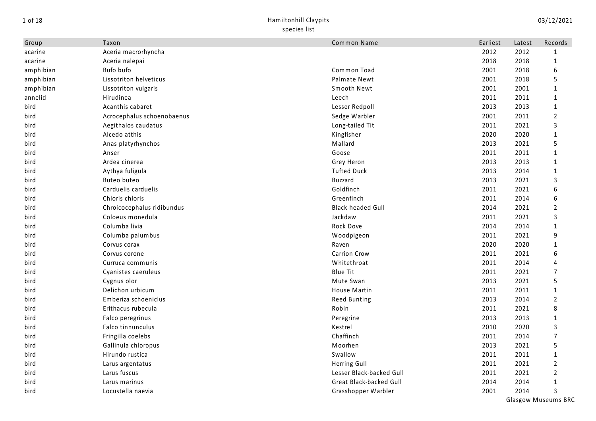## 1 of 18 Hamiltonhill Claypits species list

| Group     | Taxon                      | Common Name              | Earliest | Latest | Records          |
|-----------|----------------------------|--------------------------|----------|--------|------------------|
| acarine   | Aceria macrorhyncha        |                          | 2012     | 2012   | 1                |
| acarine   | Aceria nalepai             |                          | 2018     | 2018   | $\mathbf{1}$     |
| amphibian | Bufo bufo                  | Common Toad              | 2001     | 2018   | 6                |
| amphibian | Lissotriton helveticus     | <b>Palmate Newt</b>      | 2001     | 2018   | 5                |
| amphibian | Lissotriton vulgaris       | Smooth Newt              | 2001     | 2001   | $\mathbf{1}$     |
| annelid   | Hirudinea                  | Leech                    | 2011     | 2011   | $\mathbf{1}$     |
| bird      | Acanthis cabaret           | Lesser Redpoll           | 2013     | 2013   | $\mathbf{1}$     |
| bird      | Acrocephalus schoenobaenus | Sedge Warbler            | 2001     | 2011   | $\overline{2}$   |
| bird      | Aegithalos caudatus        | Long-tailed Tit          | 2011     | 2021   | 3                |
| bird      | Alcedo atthis              | Kingfisher               | 2020     | 2020   | 1                |
| bird      | Anas platyrhynchos         | Mallard                  | 2013     | 2021   | 5                |
| bird      | Anser                      | Goose                    | 2011     | 2011   | 1                |
| bird      | Ardea cinerea              | Grey Heron               | 2013     | 2013   | $\mathbf{1}$     |
| bird      | Aythya fuligula            | <b>Tufted Duck</b>       | 2013     | 2014   | $\mathbf{1}$     |
| bird      | Buteo buteo                | <b>Buzzard</b>           | 2013     | 2021   | $\mathsf 3$      |
| bird      | Carduelis carduelis        | Goldfinch                | 2011     | 2021   | 6                |
| bird      | Chloris chloris            | Greenfinch               | 2011     | 2014   | $\boldsymbol{6}$ |
| bird      | Chroicocephalus ridibundus | <b>Black-headed Gull</b> | 2014     | 2021   | 2                |
| bird      | Coloeus monedula           | Jackdaw                  | 2011     | 2021   | 3                |
| bird      | Columba livia              | Rock Dove                | 2014     | 2014   | $\mathbf{1}$     |
| bird      | Columba palumbus           | Woodpigeon               | 2011     | 2021   | 9                |
| bird      | Corvus corax               | Raven                    | 2020     | 2020   | 1                |
| bird      | Corvus corone              | <b>Carrion Crow</b>      | 2011     | 2021   | 6                |
| bird      | Curruca communis           | Whitethroat              | 2011     | 2014   | 4                |
| bird      | Cyanistes caeruleus        | <b>Blue Tit</b>          | 2011     | 2021   | $\overline{7}$   |
| bird      | Cygnus olor                | Mute Swan                | 2013     | 2021   | 5                |
| bird      | Delichon urbicum           | House Martin             | 2011     | 2011   | $\mathbf{1}$     |
| bird      | Emberiza schoeniclus       | <b>Reed Bunting</b>      | 2013     | 2014   | $\overline{2}$   |
| bird      | Erithacus rubecula         | Robin                    | 2011     | 2021   | 8                |
| bird      | Falco peregrinus           | Peregrine                | 2013     | 2013   | $\mathbf{1}$     |
| bird      | Falco tinnunculus          | Kestrel                  | 2010     | 2020   | 3                |
| bird      | Fringilla coelebs          | Chaffinch                | 2011     | 2014   | $\overline{7}$   |
| bird      | Gallinula chloropus        | Moorhen                  | 2013     | 2021   | 5                |
| bird      | Hirundo rustica            | Swallow                  | 2011     | 2011   | $\mathbf{1}$     |
| bird      | Larus argentatus           | Herring Gull             | 2011     | 2021   | $\overline{2}$   |
| bird      | Larus fuscus               | Lesser Black-backed Gull | 2011     | 2021   | $\overline{2}$   |
| bird      | Larus marinus              | Great Black-backed Gull  | 2014     | 2014   | $\mathbf{1}$     |
| bird      | Locustella naevia          | Grasshopper Warbler      | 2001     | 2014   | 3                |
|           |                            |                          |          |        |                  |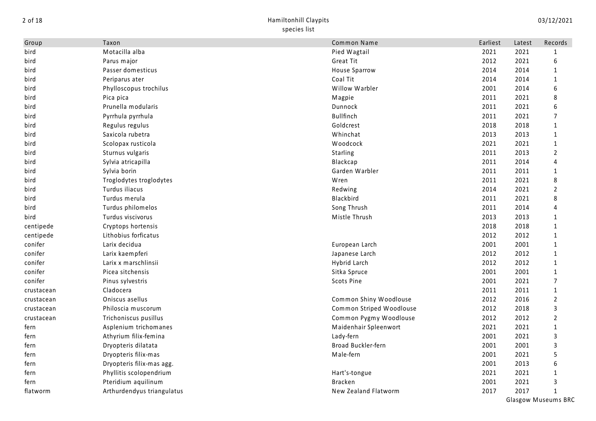| Group      | Taxon                      | Common Name              | Earliest | Latest | Records        |
|------------|----------------------------|--------------------------|----------|--------|----------------|
| bird       | Motacilla alba             | Pied Wagtail             | 2021     | 2021   | $\mathbf{1}$   |
| bird       | Parus major                | Great Tit                | 2012     | 2021   | 6              |
| bird       | Passer domesticus          | House Sparrow            | 2014     | 2014   | $\mathbf{1}$   |
| bird       | Periparus ater             | Coal Tit                 | 2014     | 2014   | $\mathbf{1}$   |
| bird       | Phylloscopus trochilus     | Willow Warbler           | 2001     | 2014   | 6              |
| bird       | Pica pica                  | Magpie                   | 2011     | 2021   | 8              |
| bird       | Prunella modularis         | Dunnock                  | 2011     | 2021   | 6              |
| bird       | Pyrrhula pyrrhula          | Bullfinch                | 2011     | 2021   | $\overline{7}$ |
| bird       | Regulus regulus            | Goldcrest                | 2018     | 2018   | $\mathbf{1}$   |
| bird       | Saxicola rubetra           | Whinchat                 | 2013     | 2013   | $\mathbf{1}$   |
| bird       | Scolopax rusticola         | Woodcock                 | 2021     | 2021   | $\mathbf{1}$   |
| bird       | Sturnus vulgaris           | Starling                 | 2011     | 2013   | 2              |
| bird       | Sylvia atricapilla         | Blackcap                 | 2011     | 2014   | 4              |
| bird       | Sylvia borin               | Garden Warbler           | 2011     | 2011   | $\mathbf{1}$   |
| bird       | Troglodytes troglodytes    | Wren                     | 2011     | 2021   | 8              |
| bird       | Turdus iliacus             | Redwing                  | 2014     | 2021   | $\overline{2}$ |
| bird       | Turdus merula              | Blackbird                | 2011     | 2021   | 8              |
| bird       | Turdus philomelos          | Song Thrush              | 2011     | 2014   | 4              |
| bird       | Turdus viscivorus          | Mistle Thrush            | 2013     | 2013   | $\mathbf{1}$   |
| centipede  | Cryptops hortensis         |                          | 2018     | 2018   | $\mathbf{1}$   |
| centipede  | Lithobius forficatus       |                          | 2012     | 2012   | $\mathbf{1}$   |
| conifer    | Larix decidua              | European Larch           | 2001     | 2001   | $\mathbf{1}$   |
| conifer    | Larix kaempferi            | Japanese Larch           | 2012     | 2012   | $\mathbf{1}$   |
| conifer    | Larix x marschlinsii       | Hybrid Larch             | 2012     | 2012   | $\mathbf{1}$   |
| conifer    | Picea sitchensis           | Sitka Spruce             | 2001     | 2001   | $\mathbf{1}$   |
| conifer    | Pinus sylvestris           | Scots Pine               | 2001     | 2021   | 7              |
| crustacean | Cladocera                  |                          | 2011     | 2011   | $\mathbf{1}$   |
| crustacean | Oniscus asellus            | Common Shiny Woodlouse   | 2012     | 2016   | $\overline{2}$ |
| crustacean | Philoscia muscorum         | Common Striped Woodlouse | 2012     | 2018   | 3              |
| crustacean | Trichoniscus pusillus      | Common Pygmy Woodlouse   | 2012     | 2012   | $\overline{2}$ |
| fern       | Asplenium trichomanes      | Maidenhair Spleenwort    | 2021     | 2021   | $\mathbf{1}$   |
| fern       | Athyrium filix-femina      | Lady-fern                | 2001     | 2021   | 3              |
| fern       | Dryopteris dilatata        | Broad Buckler-fern       | 2001     | 2001   | 3              |
| fern       | Dryopteris filix-mas       | Male-fern                | 2001     | 2021   | 5              |
| fern       | Dryopteris filix-mas agg.  |                          | 2001     | 2013   | 6              |
| fern       | Phyllitis scolopendrium    | Hart's-tongue            | 2021     | 2021   | $\mathbf{1}$   |
| fern       | Pteridium aquilinum        | <b>Bracken</b>           | 2001     | 2021   | 3              |
| flatworm   | Arthurdendyus triangulatus | New Zealand Flatworm     | 2017     | 2017   | $\mathbf{1}$   |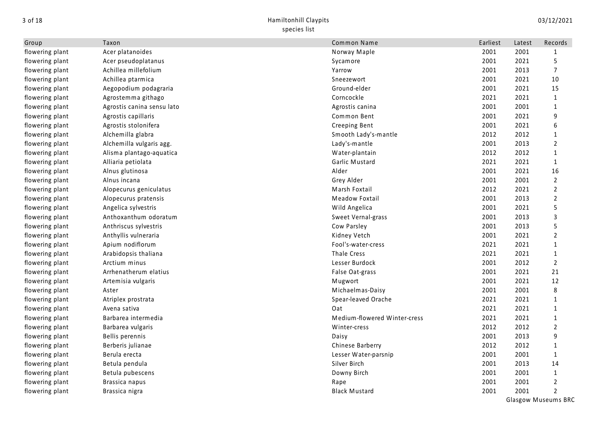| Group           | Taxon                      | Common Name                  | Earliest | Latest | Records        |
|-----------------|----------------------------|------------------------------|----------|--------|----------------|
| flowering plant | Acer platanoides           | Norway Maple                 | 2001     | 2001   | 1              |
| flowering plant | Acer pseudoplatanus        | Sycamore                     | 2001     | 2021   | 5              |
| flowering plant | Achillea millefolium       | Yarrow                       | 2001     | 2013   | $\overline{7}$ |
| flowering plant | Achillea ptarmica          | Sneezewort                   | 2001     | 2021   | 10             |
| flowering plant | Aegopodium podagraria      | Ground-elder                 | 2001     | 2021   | 15             |
| flowering plant | Agrostemma githago         | Corncockle                   | 2021     | 2021   | $\mathbf{1}$   |
| flowering plant | Agrostis canina sensu lato | Agrostis canina              | 2001     | 2001   | 1              |
| flowering plant | Agrostis capillaris        | Common Bent                  | 2001     | 2021   | 9              |
| flowering plant | Agrostis stolonifera       | Creeping Bent                | 2001     | 2021   | 6              |
| flowering plant | Alchemilla glabra          | Smooth Lady's-mantle         | 2012     | 2012   | 1              |
| flowering plant | Alchemilla vulgaris agg.   | Lady's-mantle                | 2001     | 2013   | 2              |
| flowering plant | Alisma plantago-aquatica   | Water-plantain               | 2012     | 2012   | 1              |
| flowering plant | Alliaria petiolata         | Garlic Mustard               | 2021     | 2021   | $\mathbf{1}$   |
| flowering plant | Alnus glutinosa            | Alder                        | 2001     | 2021   | 16             |
| flowering plant | Alnus incana               | Grey Alder                   | 2001     | 2001   | $\overline{2}$ |
| flowering plant | Alopecurus geniculatus     | Marsh Foxtail                | 2012     | 2021   | $\overline{2}$ |
| flowering plant | Alopecurus pratensis       | Meadow Foxtail               | 2001     | 2013   | $\overline{2}$ |
| flowering plant | Angelica sylvestris        | Wild Angelica                | 2001     | 2021   | 5              |
| flowering plant | Anthoxanthum odoratum      | Sweet Vernal-grass           | 2001     | 2013   | 3              |
| flowering plant | Anthriscus sylvestris      | Cow Parsley                  | 2001     | 2013   | 5              |
| flowering plant | Anthyllis vulneraria       | Kidney Vetch                 | 2001     | 2021   | $\overline{2}$ |
| flowering plant | Apium nodiflorum           | Fool's-water-cress           | 2021     | 2021   | 1              |
| flowering plant | Arabidopsis thaliana       | <b>Thale Cress</b>           | 2021     | 2021   | 1              |
| flowering plant | Arctium minus              | Lesser Burdock               | 2001     | 2012   | $\overline{2}$ |
| flowering plant | Arrhenatherum elatius      | False Oat-grass              | 2001     | 2021   | 21             |
| flowering plant | Artemisia vulgaris         | Mugwort                      | 2001     | 2021   | 12             |
| flowering plant | Aster                      | Michaelmas-Daisy             | 2001     | 2001   | 8              |
| flowering plant | Atriplex prostrata         | Spear-leaved Orache          | 2021     | 2021   | 1              |
| flowering plant | Avena sativa               | Oat                          | 2021     | 2021   | 1              |
| flowering plant | Barbarea intermedia        | Medium-flowered Winter-cress | 2021     | 2021   | 1              |
| flowering plant | Barbarea vulgaris          | Winter-cress                 | 2012     | 2012   | $\overline{2}$ |
| flowering plant | Bellis perennis            | Daisy                        | 2001     | 2013   | 9              |
| flowering plant | Berberis julianae          | Chinese Barberry             | 2012     | 2012   | 1              |
| flowering plant | Berula erecta              | Lesser Water-parsnip         | 2001     | 2001   | $\mathbf{1}$   |
| flowering plant | Betula pendula             | Silver Birch                 | 2001     | 2013   | 14             |
| flowering plant | Betula pubescens           | Downy Birch                  | 2001     | 2001   | $\mathbf{1}$   |
| flowering plant | Brassica napus             | Rape                         | 2001     | 2001   | $\overline{2}$ |
| flowering plant | Brassica nigra             | <b>Black Mustard</b>         | 2001     | 2001   | $\overline{2}$ |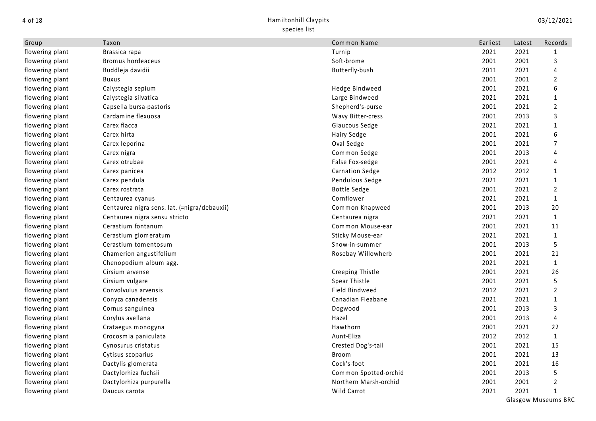| Group           | Taxon                                        | Common Name           | Earliest | Latest | Records        |
|-----------------|----------------------------------------------|-----------------------|----------|--------|----------------|
| flowering plant | Brassica rapa                                | Turnip                | 2021     | 2021   | $\mathbf{1}$   |
| flowering plant | Bromus hordeaceus                            | Soft-brome            | 2001     | 2001   | 3              |
| flowering plant | Buddleja davidii                             | Butterfly-bush        | 2011     | 2021   | 4              |
| flowering plant | <b>Buxus</b>                                 |                       | 2001     | 2001   | $\overline{2}$ |
| flowering plant | Calystegia sepium                            | Hedge Bindweed        | 2001     | 2021   | 6              |
| flowering plant | Calystegia silvatica                         | Large Bindweed        | 2021     | 2021   | $\mathbf{1}$   |
| flowering plant | Capsella bursa-pastoris                      | Shepherd's-purse      | 2001     | 2021   | 2              |
| flowering plant | Cardamine flexuosa                           | Wavy Bitter-cress     | 2001     | 2013   | 3              |
| flowering plant | Carex flacca                                 | Glaucous Sedge        | 2021     | 2021   | 1              |
| flowering plant | Carex hirta                                  | Hairy Sedge           | 2001     | 2021   | 6              |
| flowering plant | Carex leporina                               | Oval Sedge            | 2001     | 2021   | 7              |
| flowering plant | Carex nigra                                  | Common Sedge          | 2001     | 2013   | 4              |
| flowering plant | Carex otrubae                                | False Fox-sedge       | 2001     | 2021   | 4              |
| flowering plant | Carex panicea                                | Carnation Sedge       | 2012     | 2012   | $\mathbf{1}$   |
| flowering plant | Carex pendula                                | Pendulous Sedge       | 2021     | 2021   | $\mathbf{1}$   |
| flowering plant | Carex rostrata                               | <b>Bottle Sedge</b>   | 2001     | 2021   | $\overline{2}$ |
| flowering plant | Centaurea cyanus                             | Cornflower            | 2021     | 2021   | $\mathbf{1}$   |
| flowering plant | Centaurea nigra sens. lat. (=nigra/debauxii) | Common Knapweed       | 2001     | 2013   | 20             |
| flowering plant | Centaurea nigra sensu stricto                | Centaurea nigra       | 2021     | 2021   | $\mathbf{1}$   |
| flowering plant | Cerastium fontanum                           | Common Mouse-ear      | 2001     | 2021   | 11             |
| flowering plant | Cerastium glomeratum                         | Sticky Mouse-ear      | 2021     | 2021   | $\mathbf{1}$   |
| flowering plant | Cerastium tomentosum                         | Snow-in-summer        | 2001     | 2013   | 5              |
| flowering plant | Chamerion angustifolium                      | Rosebay Willowherb    | 2001     | 2021   | 21             |
| flowering plant | Chenopodium album agg.                       |                       | 2021     | 2021   | $\mathbf{1}$   |
| flowering plant | Cirsium arvense                              | Creeping Thistle      | 2001     | 2021   | 26             |
| flowering plant | Cirsium vulgare                              | Spear Thistle         | 2001     | 2021   | 5              |
| flowering plant | Convolvulus arvensis                         | Field Bindweed        | 2012     | 2021   | $\overline{2}$ |
| flowering plant | Conyza canadensis                            | Canadian Fleabane     | 2021     | 2021   | $\mathbf{1}$   |
| flowering plant | Cornus sanguinea                             | Dogwood               | 2001     | 2013   | 3              |
| flowering plant | Corylus avellana                             | Hazel                 | 2001     | 2013   | 4              |
| flowering plant | Crataegus monogyna                           | Hawthorn              | 2001     | 2021   | 22             |
| flowering plant | Crocosmia paniculata                         | Aunt-Eliza            | 2012     | 2012   | $\mathbf{1}$   |
| flowering plant | Cynosurus cristatus                          | Crested Dog's-tail    | 2001     | 2021   | 15             |
| flowering plant | Cytisus scoparius                            | <b>Broom</b>          | 2001     | 2021   | 13             |
| flowering plant | Dactylis glomerata                           | Cock's-foot           | 2001     | 2021   | 16             |
| flowering plant | Dactylorhiza fuchsii                         | Common Spotted-orchid | 2001     | 2013   | 5              |
| flowering plant | Dactylorhiza purpurella                      | Northern Marsh-orchid | 2001     | 2001   | $\overline{2}$ |
| flowering plant | Daucus carota                                | Wild Carrot           | 2021     | 2021   | $\mathbf{1}$   |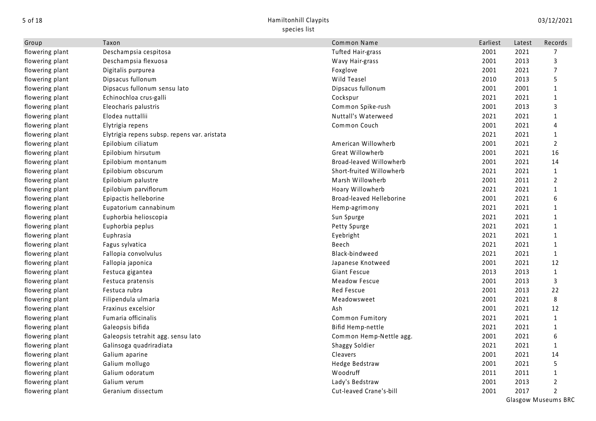| Group           | Taxon                                        | Common Name              | Earliest | Latest | Records        |
|-----------------|----------------------------------------------|--------------------------|----------|--------|----------------|
| flowering plant | Deschampsia cespitosa                        | <b>Tufted Hair-grass</b> | 2001     | 2021   | 7              |
| flowering plant | Deschampsia flexuosa                         | Wavy Hair-grass          | 2001     | 2013   | 3              |
| flowering plant | Digitalis purpurea                           | Foxglove                 | 2001     | 2021   | 7              |
| flowering plant | Dipsacus fullonum                            | Wild Teasel              | 2010     | 2013   | 5              |
| flowering plant | Dipsacus fullonum sensu lato                 | Dipsacus fullonum        | 2001     | 2001   | $\mathbf{1}$   |
| flowering plant | Echinochloa crus-galli                       | Cockspur                 | 2021     | 2021   | 1              |
| flowering plant | Eleocharis palustris                         | Common Spike-rush        | 2001     | 2013   | 3              |
| flowering plant | Elodea nuttallii                             | Nuttall's Waterweed      | 2021     | 2021   | 1              |
| flowering plant | Elytrigia repens                             | Common Couch             | 2001     | 2021   | 4              |
| flowering plant | Elytrigia repens subsp. repens var. aristata |                          | 2021     | 2021   | 1              |
| flowering plant | Epilobium ciliatum                           | American Willowherb      | 2001     | 2021   | $\overline{2}$ |
| flowering plant | Epilobium hirsutum                           | Great Willowherb         | 2001     | 2021   | 16             |
| flowering plant | Epilobium montanum                           | Broad-leaved Willowherb  | 2001     | 2021   | 14             |
| flowering plant | Epilobium obscurum                           | Short-fruited Willowherb | 2021     | 2021   | $\mathbf{1}$   |
| flowering plant | Epilobium palustre                           | Marsh Willowherb         | 2001     | 2011   | $\overline{2}$ |
| flowering plant | Epilobium parviflorum                        | Hoary Willowherb         | 2021     | 2021   | $\mathbf{1}$   |
| flowering plant | Epipactis helleborine                        | Broad-leaved Helleborine | 2001     | 2021   | 6              |
| flowering plant | Eupatorium cannabinum                        | Hemp-agrimony            | 2021     | 2021   | $\mathbf{1}$   |
| flowering plant | Euphorbia helioscopia                        | Sun Spurge               | 2021     | 2021   | $\mathbf{1}$   |
| flowering plant | Euphorbia peplus                             | Petty Spurge             | 2021     | 2021   | 1              |
| flowering plant | Euphrasia                                    | Eyebright                | 2021     | 2021   | $\mathbf{1}$   |
| flowering plant | Fagus sylvatica                              | Beech                    | 2021     | 2021   | $\mathbf{1}$   |
| flowering plant | Fallopia convolvulus                         | Black-bindweed           | 2021     | 2021   | $\mathbf{1}$   |
| flowering plant | Fallopia japonica                            | Japanese Knotweed        | 2001     | 2021   | 12             |
| flowering plant | Festuca gigantea                             | Giant Fescue             | 2013     | 2013   | $\mathbf{1}$   |
| flowering plant | Festuca pratensis                            | Meadow Fescue            | 2001     | 2013   | $\mathsf{3}$   |
| flowering plant | Festuca rubra                                | <b>Red Fescue</b>        | 2001     | 2013   | 22             |
| flowering plant | Filipendula ulmaria                          | Meadowsweet              | 2001     | 2021   | 8              |
| flowering plant | Fraxinus excelsior                           | Ash                      | 2001     | 2021   | 12             |
| flowering plant | Fumaria officinalis                          | Common Fumitory          | 2021     | 2021   | $\mathbf{1}$   |
| flowering plant | Galeopsis bifida                             | Bifid Hemp-nettle        | 2021     | 2021   | 1              |
| flowering plant | Galeopsis tetrahit agg. sensu lato           | Common Hemp-Nettle agg.  | 2001     | 2021   | 6              |
| flowering plant | Galinsoga quadriradiata                      | <b>Shaggy Soldier</b>    | 2021     | 2021   | 1              |
| flowering plant | Galium aparine                               | Cleavers                 | 2001     | 2021   | 14             |
| flowering plant | Galium mollugo                               | Hedge Bedstraw           | 2001     | 2021   | 5              |
| flowering plant | Galium odoratum                              | Woodruff                 | 2011     | 2011   | $\mathbf{1}$   |
| flowering plant | Galium verum                                 | Lady's Bedstraw          | 2001     | 2013   | $\overline{2}$ |
| flowering plant | Geranium dissectum                           | Cut-leaved Crane's-bill  | 2001     | 2017   | $\overline{2}$ |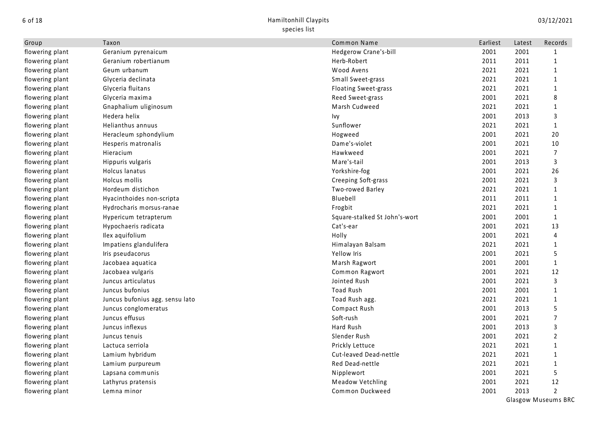| Group           | Taxon                           | Common Name                   | Earliest | Latest | Records        |
|-----------------|---------------------------------|-------------------------------|----------|--------|----------------|
| flowering plant | Geranium pyrenaicum             | Hedgerow Crane's-bill         | 2001     | 2001   | 1              |
| flowering plant | Geranium robertianum            | Herb-Robert                   | 2011     | 2011   | 1              |
| flowering plant | Geum urbanum                    | Wood Avens                    | 2021     | 2021   | 1              |
| flowering plant | Glyceria declinata              | Small Sweet-grass             | 2021     | 2021   | $\mathbf{1}$   |
| flowering plant | Glyceria fluitans               | <b>Floating Sweet-grass</b>   | 2021     | 2021   | $\mathbf{1}$   |
| flowering plant | Glyceria maxima                 | Reed Sweet-grass              | 2001     | 2021   | 8              |
| flowering plant | Gnaphalium uliginosum           | Marsh Cudweed                 | 2021     | 2021   | 1              |
| flowering plant | Hedera helix                    | Ivy                           | 2001     | 2013   | 3              |
| flowering plant | Helianthus annuus               | Sunflower                     | 2021     | 2021   | 1              |
| flowering plant | Heracleum sphondylium           | Hogweed                       | 2001     | 2021   | 20             |
| flowering plant | Hesperis matronalis             | Dame's-violet                 | 2001     | 2021   | 10             |
| flowering plant | Hieracium                       | Hawkweed                      | 2001     | 2021   | 7              |
| flowering plant | Hippuris vulgaris               | Mare's-tail                   | 2001     | 2013   | 3              |
| flowering plant | Holcus lanatus                  | Yorkshire-fog                 | 2001     | 2021   | 26             |
| flowering plant | Holcus mollis                   | Creeping Soft-grass           | 2001     | 2021   | $\overline{3}$ |
| flowering plant | Hordeum distichon               | Two-rowed Barley              | 2021     | 2021   | $\mathbf{1}$   |
| flowering plant | Hyacinthoides non-scripta       | Bluebell                      | 2011     | 2011   | 1              |
| flowering plant | Hydrocharis morsus-ranae        | Frogbit                       | 2021     | 2021   | 1              |
| flowering plant | Hypericum tetrapterum           | Square-stalked St John's-wort | 2001     | 2001   | $\mathbf{1}$   |
| flowering plant | Hypochaeris radicata            | Cat's-ear                     | 2001     | 2021   | 13             |
| flowering plant | Ilex aquifolium                 | Holly                         | 2001     | 2021   | $\overline{4}$ |
| flowering plant | Impatiens glandulifera          | Himalayan Balsam              | 2021     | 2021   | 1              |
| flowering plant | Iris pseudacorus                | Yellow Iris                   | 2001     | 2021   | 5              |
| flowering plant | Jacobaea aquatica               | Marsh Ragwort                 | 2001     | 2001   | $\mathbf{1}$   |
| flowering plant | Jacobaea vulgaris               | Common Ragwort                | 2001     | 2021   | 12             |
| flowering plant | Juncus articulatus              | Jointed Rush                  | 2001     | 2021   | 3              |
| flowering plant | Juncus bufonius                 | <b>Toad Rush</b>              | 2001     | 2001   | $\mathbf{1}$   |
| flowering plant | Juncus bufonius agg. sensu lato | Toad Rush agg.                | 2021     | 2021   | $\mathbf{1}$   |
| flowering plant | Juncus conglomeratus            | Compact Rush                  | 2001     | 2013   | 5              |
| flowering plant | Juncus effusus                  | Soft-rush                     | 2001     | 2021   | 7              |
| flowering plant | Juncus inflexus                 | Hard Rush                     | 2001     | 2013   | 3              |
| flowering plant | Juncus tenuis                   | Slender Rush                  | 2001     | 2021   | $\overline{2}$ |
| flowering plant | Lactuca serriola                | Prickly Lettuce               | 2021     | 2021   | $\mathbf{1}$   |
| flowering plant | Lamium hybridum                 | Cut-leaved Dead-nettle        | 2021     | 2021   | 1              |
| flowering plant | Lamium purpureum                | Red Dead-nettle               | 2021     | 2021   | 1              |
| flowering plant | Lapsana communis                | Nipplewort                    | 2001     | 2021   | 5              |
| flowering plant | Lathyrus pratensis              | <b>Meadow Vetchling</b>       | 2001     | 2021   | 12             |
| flowering plant | Lemna minor                     | Common Duckweed               | 2001     | 2013   | $\overline{2}$ |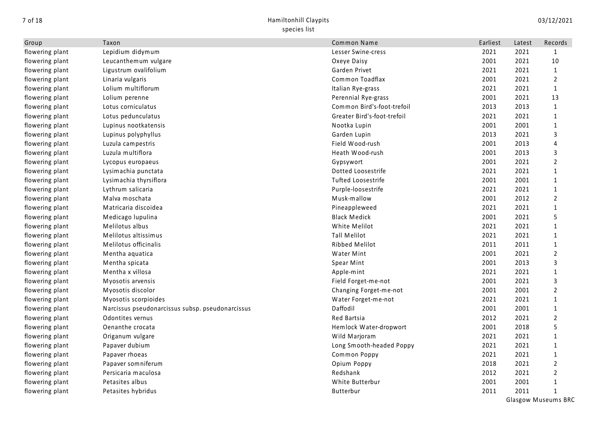| Group           | Taxon                                            | Common Name                 | Earliest | Latest | Records        |
|-----------------|--------------------------------------------------|-----------------------------|----------|--------|----------------|
| flowering plant | Lepidium didymum                                 | Lesser Swine-cress          | 2021     | 2021   | 1              |
| flowering plant | Leucanthemum vulgare                             | Oxeye Daisy                 | 2001     | 2021   | 10             |
| flowering plant | Ligustrum ovalifolium                            | Garden Privet               | 2021     | 2021   | $\mathbf{1}$   |
| flowering plant | Linaria vulgaris                                 | Common Toadflax             | 2001     | 2021   | $\overline{2}$ |
| flowering plant | Lolium multiflorum                               | Italian Rye-grass           | 2021     | 2021   | $\mathbf{1}$   |
| flowering plant | Lolium perenne                                   | Perennial Rye-grass         | 2001     | 2021   | 13             |
| flowering plant | Lotus corniculatus                               | Common Bird's-foot-trefoil  | 2013     | 2013   | $\mathbf{1}$   |
| flowering plant | Lotus pedunculatus                               | Greater Bird's-foot-trefoil | 2021     | 2021   | $\mathbf{1}$   |
| flowering plant | Lupinus nootkatensis                             | Nootka Lupin                | 2001     | 2001   | 1              |
| flowering plant | Lupinus polyphyllus                              | Garden Lupin                | 2013     | 2021   | 3              |
| flowering plant | Luzula campestris                                | Field Wood-rush             | 2001     | 2013   | 4              |
| flowering plant | Luzula multiflora                                | Heath Wood-rush             | 2001     | 2013   | 3              |
| flowering plant | Lycopus europaeus                                | Gypsywort                   | 2001     | 2021   | $\overline{2}$ |
| flowering plant | Lysimachia punctata                              | Dotted Loosestrife          | 2021     | 2021   | $\mathbf{1}$   |
| flowering plant | Lysimachia thyrsiflora                           | Tufted Loosestrife          | 2001     | 2001   | 1              |
| flowering plant | Lythrum salicaria                                | Purple-loosestrife          | 2021     | 2021   | $\mathbf{1}$   |
| flowering plant | Malva moschata                                   | Musk-mallow                 | 2001     | 2012   | $\overline{2}$ |
| flowering plant | Matricaria discoidea                             | Pineappleweed               | 2021     | 2021   | 1              |
| flowering plant | Medicago lupulina                                | <b>Black Medick</b>         | 2001     | 2021   | 5              |
| flowering plant | Melilotus albus                                  | White Melilot               | 2021     | 2021   | $\mathbf{1}$   |
| flowering plant | Melilotus altissimus                             | Tall Melilot                | 2021     | 2021   | $\mathbf{1}$   |
| flowering plant | Melilotus officinalis                            | Ribbed Melilot              | 2011     | 2011   | $\mathbf{1}$   |
| flowering plant | Mentha aquatica                                  | <b>Water Mint</b>           | 2001     | 2021   | 2              |
| flowering plant | Mentha spicata                                   | Spear Mint                  | 2001     | 2013   | 3              |
| flowering plant | Mentha x villosa                                 | Apple-mint                  | 2021     | 2021   | 1              |
| flowering plant | Myosotis arvensis                                | Field Forget-me-not         | 2001     | 2021   | 3              |
| flowering plant | Myosotis discolor                                | Changing Forget-me-not      | 2001     | 2001   | $\overline{2}$ |
| flowering plant | Myosotis scorpioides                             | Water Forget-me-not         | 2021     | 2021   | $\mathbf{1}$   |
| flowering plant | Narcissus pseudonarcissus subsp. pseudonarcissus | Daffodil                    | 2001     | 2001   | $\mathbf{1}$   |
| flowering plant | Odontites vernus                                 | Red Bartsia                 | 2012     | 2021   | $\overline{2}$ |
| flowering plant | Oenanthe crocata                                 | Hemlock Water-dropwort      | 2001     | 2018   | 5              |
| flowering plant | Origanum vulgare                                 | Wild Marjoram               | 2021     | 2021   | 1              |
| flowering plant | Papaver dubium                                   | Long Smooth-headed Poppy    | 2021     | 2021   | 1              |
| flowering plant | Papaver rhoeas                                   | Common Poppy                | 2021     | 2021   | $\mathbf{1}$   |
| flowering plant | Papaver somniferum                               | Opium Poppy                 | 2018     | 2021   | 2              |
| flowering plant | Persicaria maculosa                              | Redshank                    | 2012     | 2021   | 2              |
| flowering plant | Petasites albus                                  | White Butterbur             | 2001     | 2001   | 1              |
| flowering plant | Petasites hybridus                               | <b>Butterbur</b>            | 2011     | 2011   | 1              |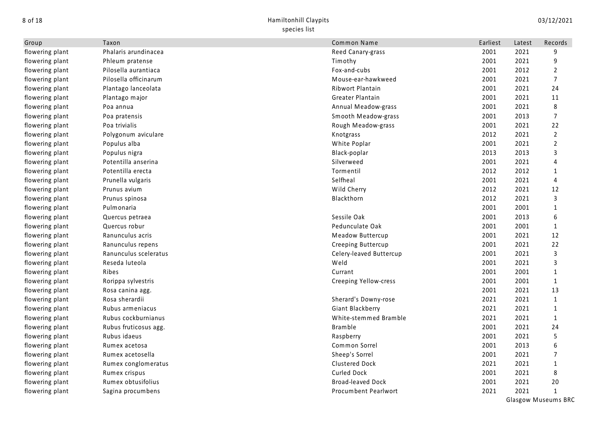| Group           | Taxon                 | Common Name                  | Earliest | Latest | Records        |
|-----------------|-----------------------|------------------------------|----------|--------|----------------|
| flowering plant | Phalaris arundinacea  | Reed Canary-grass            | 2001     | 2021   | 9              |
| flowering plant | Phleum pratense       | Timothy                      | 2001     | 2021   | 9              |
| flowering plant | Pilosella aurantiaca  | Fox-and-cubs                 | 2001     | 2012   | $\overline{2}$ |
| flowering plant | Pilosella officinarum | Mouse-ear-hawkweed           | 2001     | 2021   | $\overline{7}$ |
| flowering plant | Plantago lanceolata   | Ribwort Plantain             | 2001     | 2021   | 24             |
| flowering plant | Plantago major        | Greater Plantain             | 2001     | 2021   | 11             |
| flowering plant | Poa annua             | Annual Meadow-grass          | 2001     | 2021   | 8              |
| flowering plant | Poa pratensis         | Smooth Meadow-grass          | 2001     | 2013   | 7              |
| flowering plant | Poa trivialis         | Rough Meadow-grass           | 2001     | 2021   | 22             |
| flowering plant | Polygonum aviculare   | Knotgrass                    | 2012     | 2021   | $\overline{2}$ |
| flowering plant | Populus alba          | White Poplar                 | 2001     | 2021   | $\overline{2}$ |
| flowering plant | Populus nigra         | Black-poplar                 | 2013     | 2013   | 3              |
| flowering plant | Potentilla anserina   | Silverweed                   | 2001     | 2021   | 4              |
| flowering plant | Potentilla erecta     | Tormentil                    | 2012     | 2012   | 1              |
| flowering plant | Prunella vulgaris     | Selfheal                     | 2001     | 2021   | $\overline{4}$ |
| flowering plant | Prunus avium          | Wild Cherry                  | 2012     | 2021   | 12             |
| flowering plant | Prunus spinosa        | Blackthorn                   | 2012     | 2021   | 3              |
| flowering plant | Pulmonaria            |                              | 2001     | 2001   | $\mathbf{1}$   |
| flowering plant | Quercus petraea       | Sessile Oak                  | 2001     | 2013   | 6              |
| flowering plant | Quercus robur         | Pedunculate Oak              | 2001     | 2001   | 1              |
| flowering plant | Ranunculus acris      | Meadow Buttercup             | 2001     | 2021   | 12             |
| flowering plant | Ranunculus repens     | Creeping Buttercup           | 2001     | 2021   | 22             |
| flowering plant | Ranunculus sceleratus | Celery-leaved Buttercup      | 2001     | 2021   | 3              |
| flowering plant | Reseda luteola        | Weld                         | 2001     | 2021   | 3              |
| flowering plant | Ribes                 | Currant                      | 2001     | 2001   | 1              |
| flowering plant | Rorippa sylvestris    | <b>Creeping Yellow-cress</b> | 2001     | 2001   | $\mathbf{1}$   |
| flowering plant | Rosa canina agg.      |                              | 2001     | 2021   | 13             |
| flowering plant | Rosa sherardii        | Sherard's Downy-rose         | 2021     | 2021   | $\mathbf{1}$   |
| flowering plant | Rubus armeniacus      | Giant Blackberry             | 2021     | 2021   | $\mathbf{1}$   |
| flowering plant | Rubus cockburnianus   | White-stemmed Bramble        | 2021     | 2021   | $\mathbf{1}$   |
| flowering plant | Rubus fruticosus agg. | <b>Bramble</b>               | 2001     | 2021   | 24             |
| flowering plant | Rubus idaeus          | Raspberry                    | 2001     | 2021   | 5              |
| flowering plant | Rumex acetosa         | Common Sorrel                | 2001     | 2013   | 6              |
| flowering plant | Rumex acetosella      | Sheep's Sorrel               | 2001     | 2021   | $\overline{7}$ |
| flowering plant | Rumex conglomeratus   | <b>Clustered Dock</b>        | 2021     | 2021   | $\mathbf{1}$   |
| flowering plant | Rumex crispus         | <b>Curled Dock</b>           | 2001     | 2021   | 8              |
| flowering plant | Rumex obtusifolius    | <b>Broad-leaved Dock</b>     | 2001     | 2021   | 20             |
| flowering plant | Sagina procumbens     | Procumbent Pearlwort         | 2021     | 2021   | $\mathbf{1}$   |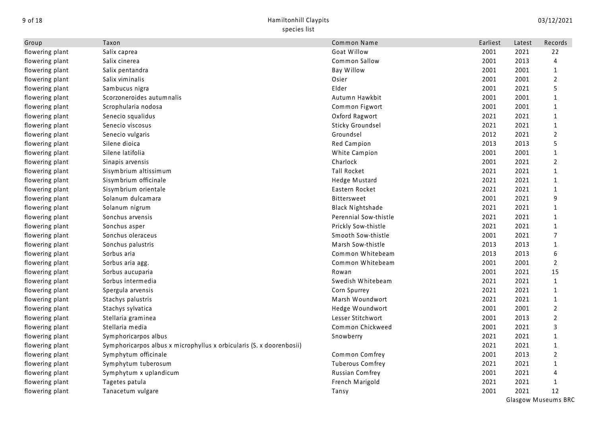| Group           | Taxon                                                                | Common Name             | Earliest | Latest | Records        |
|-----------------|----------------------------------------------------------------------|-------------------------|----------|--------|----------------|
| flowering plant | Salix caprea                                                         | Goat Willow             | 2001     | 2021   | 22             |
| flowering plant | Salix cinerea                                                        | Common Sallow           | 2001     | 2013   | 4              |
| flowering plant | Salix pentandra                                                      | <b>Bay Willow</b>       | 2001     | 2001   | $\mathbf{1}$   |
| flowering plant | Salix viminalis                                                      | Osier                   | 2001     | 2001   | $\overline{2}$ |
| flowering plant | Sambucus nigra                                                       | Elder                   | 2001     | 2021   | 5              |
| flowering plant | Scorzoneroides autumnalis                                            | Autumn Hawkbit          | 2001     | 2001   | $\mathbf{1}$   |
| flowering plant | Scrophularia nodosa                                                  | Common Figwort          | 2001     | 2001   | 1              |
| flowering plant | Senecio squalidus                                                    | Oxford Ragwort          | 2021     | 2021   | 1              |
| flowering plant | Senecio viscosus                                                     | Sticky Groundsel        | 2021     | 2021   | 1              |
| flowering plant | Senecio vulgaris                                                     | Groundsel               | 2012     | 2021   | $\overline{2}$ |
| flowering plant | Silene dioica                                                        | Red Campion             | 2013     | 2013   | 5              |
| flowering plant | Silene latifolia                                                     | White Campion           | 2001     | 2001   | $\mathbf{1}$   |
| flowering plant | Sinapis arvensis                                                     | Charlock                | 2001     | 2021   | $\overline{2}$ |
| flowering plant | Sisymbrium altissimum                                                | <b>Tall Rocket</b>      | 2021     | 2021   | $\mathbf{1}$   |
| flowering plant | Sisymbrium officinale                                                | Hedge Mustard           | 2021     | 2021   | $\mathbf 1$    |
| flowering plant | Sisymbrium orientale                                                 | Eastern Rocket          | 2021     | 2021   | $\mathbf{1}$   |
| flowering plant | Solanum dulcamara                                                    | <b>Bittersweet</b>      | 2001     | 2021   | 9              |
| flowering plant | Solanum nigrum                                                       | <b>Black Nightshade</b> | 2021     | 2021   | 1              |
| flowering plant | Sonchus arvensis                                                     | Perennial Sow-thistle   | 2021     | 2021   | 1              |
| flowering plant | Sonchus asper                                                        | Prickly Sow-thistle     | 2021     | 2021   | $\mathbf{1}$   |
| flowering plant | Sonchus oleraceus                                                    | Smooth Sow-thistle      | 2001     | 2021   | 7              |
| flowering plant | Sonchus palustris                                                    | Marsh Sow-thistle       | 2013     | 2013   | $\mathbf{1}$   |
| flowering plant | Sorbus aria                                                          | Common Whitebeam        | 2013     | 2013   | 6              |
| flowering plant | Sorbus aria agg.                                                     | Common Whitebeam        | 2001     | 2001   | $\overline{2}$ |
| flowering plant | Sorbus aucuparia                                                     | Rowan                   | 2001     | 2021   | 15             |
| flowering plant | Sorbus intermedia                                                    | Swedish Whitebeam       | 2021     | 2021   | $\mathbf{1}$   |
| flowering plant | Spergula arvensis                                                    | Corn Spurrey            | 2021     | 2021   | $\mathbf{1}$   |
| flowering plant | Stachys palustris                                                    | Marsh Woundwort         | 2021     | 2021   | 1              |
| flowering plant | Stachys sylvatica                                                    | Hedge Woundwort         | 2001     | 2001   | $\overline{2}$ |
| flowering plant | Stellaria graminea                                                   | Lesser Stitchwort       | 2001     | 2013   | $\overline{2}$ |
| flowering plant | Stellaria media                                                      | Common Chickweed        | 2001     | 2021   | 3              |
| flowering plant | Symphoricarpos albus                                                 | Snowberry               | 2021     | 2021   | 1              |
| flowering plant | Symphoricarpos albus x microphyllus x orbicularis (S. x doorenbosii) |                         | 2021     | 2021   | 1              |
| flowering plant | Symphytum officinale                                                 | Common Comfrey          | 2001     | 2013   | $\overline{2}$ |
| flowering plant | Symphytum tuberosum                                                  | <b>Tuberous Comfrey</b> | 2021     | 2021   | $\mathbf{1}$   |
| flowering plant | Symphytum x uplandicum                                               | Russian Comfrey         | 2001     | 2021   | 4              |
| flowering plant | Tagetes patula                                                       | French Marigold         | 2021     | 2021   | $\mathbf{1}$   |
| flowering plant | Tanacetum vulgare                                                    | Tansy                   | 2001     | 2021   | 12             |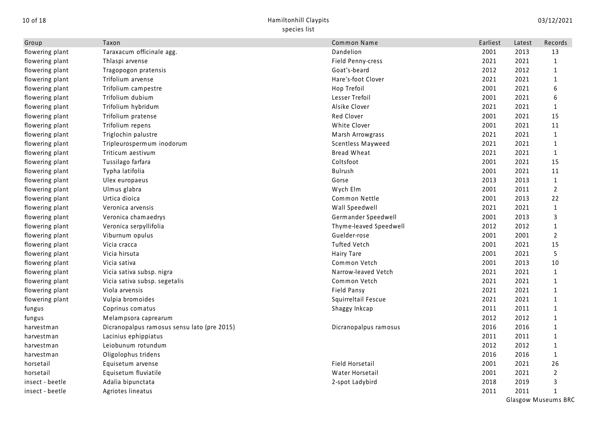| Group           | Taxon                                       | Common Name            | Earliest | Latest | Records        |
|-----------------|---------------------------------------------|------------------------|----------|--------|----------------|
| flowering plant | Taraxacum officinale agg.                   | Dandelion              | 2001     | 2013   | 13             |
| flowering plant | Thlaspi arvense                             | Field Penny-cress      | 2021     | 2021   | 1              |
| flowering plant | Tragopogon pratensis                        | Goat's-beard           | 2012     | 2012   | $\mathbf{1}$   |
| flowering plant | Trifolium arvense                           | Hare's-foot Clover     | 2021     | 2021   | $\mathbf{1}$   |
| flowering plant | Trifolium campestre                         | Hop Trefoil            | 2001     | 2021   | 6              |
| flowering plant | Trifolium dubium                            | Lesser Trefoil         | 2001     | 2021   | 6              |
| flowering plant | Trifolium hybridum                          | Alsike Clover          | 2021     | 2021   | 1              |
| flowering plant | Trifolium pratense                          | Red Clover             | 2001     | 2021   | 15             |
| flowering plant | Trifolium repens                            | White Clover           | 2001     | 2021   | 11             |
| flowering plant | Triglochin palustre                         | Marsh Arrowgrass       | 2021     | 2021   | $\mathbf{1}$   |
| flowering plant | Tripleurospermum inodorum                   | Scentless Mayweed      | 2021     | 2021   | 1              |
| flowering plant | Triticum aestivum                           | Bread Wheat            | 2021     | 2021   | 1              |
| flowering plant | Tussilago farfara                           | Coltsfoot              | 2001     | 2021   | 15             |
| flowering plant | Typha latifolia                             | <b>Bulrush</b>         | 2001     | 2021   | 11             |
| flowering plant | Ulex europaeus                              | Gorse                  | 2013     | 2013   | $\mathbf{1}$   |
| flowering plant | Ulmus glabra                                | Wych Elm               | 2001     | 2011   | $\overline{2}$ |
| flowering plant | Urtica dioica                               | Common Nettle          | 2001     | 2013   | 22             |
| flowering plant | Veronica arvensis                           | Wall Speedwell         | 2021     | 2021   | $\mathbf{1}$   |
| flowering plant | Veronica chamaedrys                         | Germander Speedwell    | 2001     | 2013   | 3              |
| flowering plant | Veronica serpyllifolia                      | Thyme-leaved Speedwell | 2012     | 2012   | $\mathbf{1}$   |
| flowering plant | Viburnum opulus                             | Guelder-rose           | 2001     | 2001   | $\overline{2}$ |
| flowering plant | Vicia cracca                                | <b>Tufted Vetch</b>    | 2001     | 2021   | 15             |
| flowering plant | Vicia hirsuta                               | Hairy Tare             | 2001     | 2021   | 5              |
| flowering plant | Vicia sativa                                | Common Vetch           | 2001     | 2013   | 10             |
| flowering plant | Vicia sativa subsp. nigra                   | Narrow-leaved Vetch    | 2021     | 2021   | $\mathbf{1}$   |
| flowering plant | Vicia sativa subsp. segetalis               | Common Vetch           | 2021     | 2021   | $\mathbf{1}$   |
| flowering plant | Viola arvensis                              | <b>Field Pansy</b>     | 2021     | 2021   | $\mathbf{1}$   |
| flowering plant | Vulpia bromoides                            | Squirreltail Fescue    | 2021     | 2021   | 1              |
| fungus          | Coprinus comatus                            | Shaggy Inkcap          | 2011     | 2011   | 1              |
| fungus          | Melampsora caprearum                        |                        | 2012     | 2012   | 1              |
| harvestman      | Dicranopalpus ramosus sensu lato (pre 2015) | Dicranopalpus ramosus  | 2016     | 2016   | 1              |
| harvestman      | Lacinius ephippiatus                        |                        | 2011     | 2011   | 1              |
| harvestman      | Leiobunum rotundum                          |                        | 2012     | 2012   | 1              |
| harvestman      | Oligolophus tridens                         |                        | 2016     | 2016   | 1              |
| horsetail       | Equisetum arvense                           | Field Horsetail        | 2001     | 2021   | 26             |
| horsetail       | Equisetum fluviatile                        | Water Horsetail        | 2001     | 2021   | $\overline{2}$ |
| insect - beetle | Adalia bipunctata                           | 2-spot Ladybird        | 2018     | 2019   | 3              |
| insect - beetle | Agriotes lineatus                           |                        | 2011     | 2011   | $\mathbf{1}$   |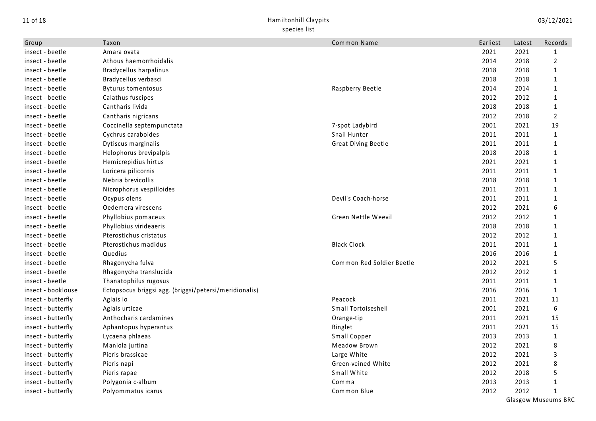| Group              | Taxon                                                  | Common Name                | Earliest | Latest | Records        |
|--------------------|--------------------------------------------------------|----------------------------|----------|--------|----------------|
| insect - beetle    | Amara ovata                                            |                            | 2021     | 2021   | 1              |
| insect - beetle    | Athous haemorrhoidalis                                 |                            | 2014     | 2018   | $\overline{2}$ |
| insect - beetle    | <b>Bradycellus harpalinus</b>                          |                            | 2018     | 2018   | $\mathbf{1}$   |
| insect - beetle    | Bradycellus verbasci                                   |                            | 2018     | 2018   | $\mathbf{1}$   |
| insect - beetle    | <b>Byturus tomentosus</b>                              | Raspberry Beetle           | 2014     | 2014   | $\mathbf{1}$   |
| insect - beetle    | Calathus fuscipes                                      |                            | 2012     | 2012   | 1              |
| insect - beetle    | Cantharis livida                                       |                            | 2018     | 2018   | 1              |
| insect - beetle    | Cantharis nigricans                                    |                            | 2012     | 2018   | $\overline{2}$ |
| insect - beetle    | Coccinella septempunctata                              | 7-spot Ladybird            | 2001     | 2021   | 19             |
| insect - beetle    | Cychrus caraboides                                     | Snail Hunter               | 2011     | 2011   | $\mathbf{1}$   |
| insect - beetle    | Dytiscus marginalis                                    | <b>Great Diving Beetle</b> | 2011     | 2011   | 1              |
| insect - beetle    | Helophorus brevipalpis                                 |                            | 2018     | 2018   | 1              |
| insect - beetle    | Hemicrepidius hirtus                                   |                            | 2021     | 2021   | $\mathbf{1}$   |
| insect - beetle    | Loricera pilicornis                                    |                            | 2011     | 2011   | $\mathbf{1}$   |
| insect - beetle    | Nebria brevicollis                                     |                            | 2018     | 2018   | $\mathbf 1$    |
| insect - beetle    | Nicrophorus vespilloides                               |                            | 2011     | 2011   | $\mathbf{1}$   |
| insect - beetle    | Ocypus olens                                           | Devil's Coach-horse        | 2011     | 2011   | $\mathbf{1}$   |
| insect - beetle    | Oedemera virescens                                     |                            | 2012     | 2021   | 6              |
| insect - beetle    | Phyllobius pomaceus                                    | Green Nettle Weevil        | 2012     | 2012   | 1              |
| insect - beetle    | Phyllobius virideaeris                                 |                            | 2018     | 2018   | 1              |
| insect - beetle    | Pterostichus cristatus                                 |                            | 2012     | 2012   | 1              |
| insect - beetle    | Pterostichus madidus                                   | <b>Black Clock</b>         | 2011     | 2011   | 1              |
| insect - beetle    | Quedius                                                |                            | 2016     | 2016   | 1              |
| insect - beetle    | Rhagonycha fulva                                       | Common Red Soldier Beetle  | 2012     | 2021   | 5              |
| insect - beetle    | Rhagonycha translucida                                 |                            | 2012     | 2012   | $\mathbf{1}$   |
| insect - beetle    | Thanatophilus rugosus                                  |                            | 2011     | 2011   | $\mathbf{1}$   |
| insect - booklouse | Ectopsocus briggsi agg. (briggsi/petersi/meridionalis) |                            | 2016     | 2016   | $\mathbf{1}$   |
| insect - butterfly | Aglais io                                              | Peacock                    | 2011     | 2021   | 11             |
| insect - butterfly | Aglais urticae                                         | Small Tortoiseshell        | 2001     | 2021   | 6              |
| insect - butterfly | Anthocharis cardamines                                 | Orange-tip                 | 2011     | 2021   | 15             |
| insect - butterfly | Aphantopus hyperantus                                  | Ringlet                    | 2011     | 2021   | 15             |
| insect - butterfly | Lycaena phlaeas                                        | Small Copper               | 2013     | 2013   | $\mathbf{1}$   |
| insect - butterfly | Maniola jurtina                                        | Meadow Brown               | 2012     | 2021   | 8              |
| insect - butterfly | Pieris brassicae                                       | Large White                | 2012     | 2021   | 3              |
| insect - butterfly | Pieris napi                                            | Green-veined White         | 2012     | 2021   | 8              |
| insect - butterfly | Pieris rapae                                           | Small White                | 2012     | 2018   | 5              |
| insect - butterfly | Polygonia c-album                                      | Comma                      | 2013     | 2013   | $\mathbf{1}$   |
| insect - butterfly | Polyommatus icarus                                     | Common Blue                | 2012     | 2012   | 1              |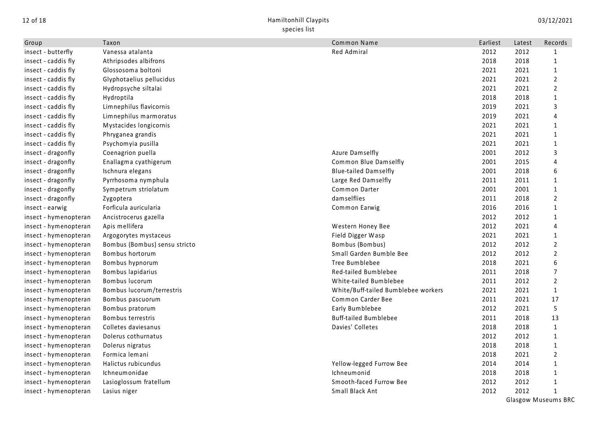| Group                 | Taxon                         | Common Name                         | Earliest | Latest | Records                    |
|-----------------------|-------------------------------|-------------------------------------|----------|--------|----------------------------|
| insect - butterfly    | Vanessa atalanta              | Red Admiral                         | 2012     | 2012   | 1                          |
| insect - caddis fly   | Athripsodes albifrons         |                                     | 2018     | 2018   | $\mathbf{1}$               |
| insect - caddis fly   | Glossosoma boltoni            |                                     | 2021     | 2021   | $\mathbf{1}$               |
| insect - caddis fly   | Glyphotaelius pellucidus      |                                     | 2021     | 2021   | $\overline{2}$             |
| insect - caddis fly   | Hydropsyche siltalai          |                                     | 2021     | 2021   | $\overline{2}$             |
| insect - caddis fly   | Hydroptila                    |                                     | 2018     | 2018   | $\mathbf 1$                |
| insect - caddis fly   | Limnephilus flavicornis       |                                     | 2019     | 2021   | 3                          |
| insect - caddis fly   | Limnephilus marmoratus        |                                     | 2019     | 2021   | 4                          |
| insect - caddis fly   | Mystacides longicornis        |                                     | 2021     | 2021   | $\mathbf{1}$               |
| insect - caddis fly   | Phryganea grandis             |                                     | 2021     | 2021   | $\mathbf 1$                |
| insect - caddis fly   | Psychomyia pusilla            |                                     | 2021     | 2021   | $\mathbf{1}$               |
| insect - dragonfly    | Coenagrion puella             | Azure Damselfly                     | 2001     | 2012   | 3                          |
| insect - dragonfly    | Enallagma cyathigerum         | Common Blue Damselfly               | 2001     | 2015   | 4                          |
| insect - dragonfly    | Ischnura elegans              | <b>Blue-tailed Damselfly</b>        | 2001     | 2018   | 6                          |
| insect - dragonfly    | Pyrrhosoma nymphula           | Large Red Damselfly                 | 2011     | 2011   | 1                          |
| insect - dragonfly    | Sympetrum striolatum          | Common Darter                       | 2001     | 2001   | $\mathbf{1}$               |
| insect - dragonfly    | Zygoptera                     | damselflies                         | 2011     | 2018   | $\overline{2}$             |
| insect - earwig       | Forficula auricularia         | Common Earwig                       | 2016     | 2016   | $\mathbf{1}$               |
| insect - hymenopteran | Ancistrocerus gazella         |                                     | 2012     | 2012   | $\mathbf{1}$               |
| insect - hymenopteran | Apis mellifera                | Western Honey Bee                   | 2012     | 2021   | 4                          |
| insect - hymenopteran | Argogorytes mystaceus         | Field Digger Wasp                   | 2021     | 2021   | $\mathbf{1}$               |
| insect - hymenopteran | Bombus (Bombus) sensu stricto | Bombus (Bombus)                     | 2012     | 2012   | $\mathbf{2}$               |
| insect - hymenopteran | Bombus hortorum               | Small Garden Bumble Bee             | 2012     | 2012   | $\overline{2}$             |
| insect - hymenopteran | Bombus hypnorum               | Tree Bumblebee                      | 2018     | 2021   | 6                          |
| insect - hymenopteran | Bombus lapidarius             | Red-tailed Bumblebee                | 2011     | 2018   | $\overline{7}$             |
| insect - hymenopteran | Bombus lucorum                | White-tailed Bumblebee              | 2011     | 2012   | $\mathbf{2}$               |
| insect - hymenopteran | Bombus lucorum/terrestris     | White/Buff-tailed Bumblebee workers | 2021     | 2021   | $\mathbf{1}$               |
| insect - hymenopteran | Bombus pascuorum              | Common Carder Bee                   | 2011     | 2021   | 17                         |
| insect - hymenopteran | Bombus pratorum               | Early Bumblebee                     | 2012     | 2021   | 5                          |
| insect - hymenopteran | Bombus terrestris             | <b>Buff-tailed Bumblebee</b>        | 2011     | 2018   | 13                         |
| insect - hymenopteran | Colletes daviesanus           | Davies' Colletes                    | 2018     | 2018   | $\mathbf{1}$               |
| insect - hymenopteran | Dolerus cothurnatus           |                                     | 2012     | 2012   | $\mathbf{1}$               |
| insect - hymenopteran | Dolerus nigratus              |                                     | 2018     | 2018   | $\mathbf{1}$               |
| insect - hymenopteran | Formica lemani                |                                     | 2018     | 2021   | $\overline{2}$             |
| insect - hymenopteran | Halictus rubicundus           | Yellow-legged Furrow Bee            | 2014     | 2014   | $\mathbf{1}$               |
| insect - hymenopteran | Ichneumonidae                 | Ichneumonid                         | 2018     | 2018   | 1                          |
| insect - hymenopteran | Lasioglossum fratellum        | Smooth-faced Furrow Bee             | 2012     | 2012   | $\mathbf{1}$               |
| insect - hymenopteran | Lasius niger                  | Small Black Ant                     | 2012     | 2012   | 1                          |
|                       |                               |                                     |          |        | <b>Glasgow Museums BRC</b> |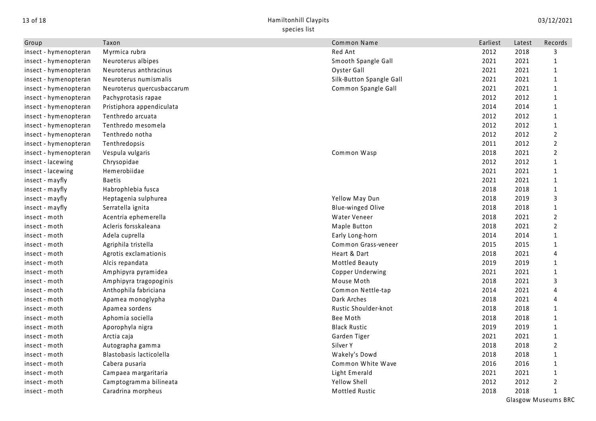## 13 of 18 Hamiltonhill Claypits species list

| Group                 | Taxon                      | Common Name              | Earliest | Latest | Records                    |
|-----------------------|----------------------------|--------------------------|----------|--------|----------------------------|
| insect - hymenopteran | Myrmica rubra              | Red Ant                  | 2012     | 2018   | 3                          |
| insect - hymenopteran | Neuroterus albipes         | Smooth Spangle Gall      | 2021     | 2021   | $\mathbf{1}$               |
| insect - hymenopteran | Neuroterus anthracinus     | Oyster Gall              | 2021     | 2021   | $\mathbf{1}$               |
| insect - hymenopteran | Neuroterus numismalis      | Silk-Button Spangle Gall | 2021     | 2021   | $\mathbf{1}$               |
| insect - hymenopteran | Neuroterus quercusbaccarum | Common Spangle Gall      | 2021     | 2021   | $\mathbf{1}$               |
| insect - hymenopteran | Pachyprotasis rapae        |                          | 2012     | 2012   | 1                          |
| insect - hymenopteran | Pristiphora appendiculata  |                          | 2014     | 2014   | 1                          |
| insect - hymenopteran | Tenthredo arcuata          |                          | 2012     | 2012   | 1                          |
| insect - hymenopteran | Tenthredo mesomela         |                          | 2012     | 2012   | $\mathbf{1}$               |
| insect - hymenopteran | Tenthredo notha            |                          | 2012     | 2012   | $\overline{2}$             |
| insect - hymenopteran | Tenthredopsis              |                          | 2011     | 2012   | $\overline{2}$             |
| insect - hymenopteran | Vespula vulgaris           | Common Wasp              | 2018     | 2021   | $\mathbf{2}$               |
| insect - lacewing     | Chrysopidae                |                          | 2012     | 2012   | 1                          |
| insect - lacewing     | Hemerobiidae               |                          | 2021     | 2021   | $\mathbf{1}$               |
| insect - mayfly       | <b>Baetis</b>              |                          | 2021     | 2021   | 1                          |
| insect - mayfly       | Habrophlebia fusca         |                          | 2018     | 2018   | 1                          |
| insect - mayfly       | Heptagenia sulphurea       | Yellow May Dun           | 2018     | 2019   | 3                          |
| insect - mayfly       | Serratella ignita          | Blue-winged Olive        | 2018     | 2018   | $\mathbf{1}$               |
| insect - moth         | Acentria ephemerella       | Water Veneer             | 2018     | 2021   | $\overline{2}$             |
| insect - moth         | Acleris forsskaleana       | Maple Button             | 2018     | 2021   | $\overline{2}$             |
| insect - moth         | Adela cuprella             | Early Long-horn          | 2014     | 2014   | 1                          |
| insect - moth         | Agriphila tristella        | Common Grass-veneer      | 2015     | 2015   | 1                          |
| insect - moth         | Agrotis exclamationis      | Heart & Dart             | 2018     | 2021   | 4                          |
| insect - moth         | Alcis repandata            | Mottled Beauty           | 2019     | 2019   | 1                          |
| insect - moth         | Amphipyra pyramidea        | Copper Underwing         | 2021     | 2021   | $\mathbf{1}$               |
| insect - moth         | Amphipyra tragopoginis     | Mouse Moth               | 2018     | 2021   | 3                          |
| insect - moth         | Anthophila fabriciana      | Common Nettle-tap        | 2014     | 2021   | 4                          |
| insect - moth         | Apamea monoglypha          | Dark Arches              | 2018     | 2021   | 4                          |
| insect - moth         | Apamea sordens             | Rustic Shoulder-knot     | 2018     | 2018   | 1                          |
| insect - moth         | Aphomia sociella           | Bee Moth                 | 2018     | 2018   | 1                          |
| insect - moth         | Aporophyla nigra           | <b>Black Rustic</b>      | 2019     | 2019   | $\mathbf{1}$               |
| insect - moth         | Arctia caja                | Garden Tiger             | 2021     | 2021   | $\mathbf{1}$               |
| insect - moth         | Autographa gamma           | Silver Y                 | 2018     | 2018   | $\overline{2}$             |
| insect - moth         | Blastobasis lacticolella   | Wakely's Dowd            | 2018     | 2018   | 1                          |
| insect - moth         | Cabera pusaria             | Common White Wave        | 2016     | 2016   | $\mathbf{1}$               |
| insect - moth         | Campaea margaritaria       | Light Emerald            | 2021     | 2021   | $\mathbf{1}$               |
| insect - moth         | Camptogramma bilineata     | Yellow Shell             | 2012     | 2012   | $\overline{2}$             |
| insect - moth         | Caradrina morpheus         | Mottled Rustic           | 2018     | 2018   | $\mathbf{1}$               |
|                       |                            |                          |          |        | <b>Glasgow Museums BRC</b> |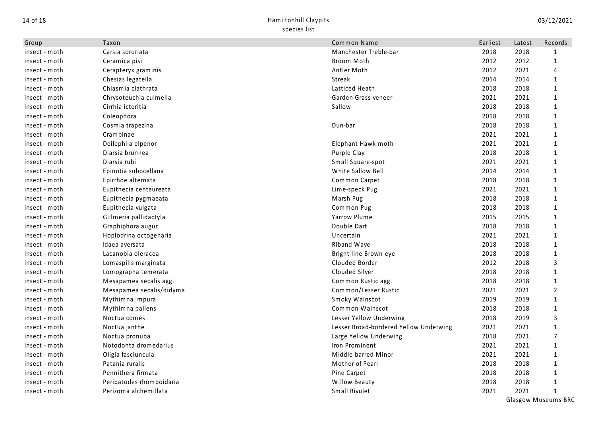| Group         | Taxon                    | Common Name                            | Earliest | Latest | Records        |
|---------------|--------------------------|----------------------------------------|----------|--------|----------------|
| insect - moth | Carsia sororiata         | Manchester Treble-bar                  | 2018     | 2018   | 1              |
| insect - moth | Ceramica pisi            | Broom Moth                             | 2012     | 2012   | $\mathbf{1}$   |
| insect - moth | Cerapteryx graminis      | Antler Moth                            | 2012     | 2021   | 4              |
| insect - moth | Chesias legatella        | Streak                                 | 2014     | 2014   | $\mathbf{1}$   |
| insect - moth | Chiasmia clathrata       | Latticed Heath                         | 2018     | 2018   | $\mathbf{1}$   |
| insect - moth | Chrysoteuchia culmella   | Garden Grass-veneer                    | 2021     | 2021   | $\mathbf{1}$   |
| insect - moth | Cirrhia icteritia        | Sallow                                 | 2018     | 2018   | $\mathbf{1}$   |
| insect - moth | Coleophora               |                                        | 2018     | 2018   | $\mathbf{1}$   |
| insect - moth | Cosmia trapezina         | Dun-bar                                | 2018     | 2018   | $\mathbf{1}$   |
| insect - moth | Crambinae                |                                        | 2021     | 2021   | $\mathbf{1}$   |
| insect - moth | Deilephila elpenor       | Elephant Hawk-moth                     | 2021     | 2021   | $\mathbf{1}$   |
| insect - moth | Diarsia brunnea          | Purple Clay                            | 2018     | 2018   | 1              |
| insect - moth | Diarsia rubi             | Small Square-spot                      | 2021     | 2021   | $\mathbf{1}$   |
| insect - moth | Epinotia subocellana     | White Sallow Bell                      | 2014     | 2014   | $\mathbf{1}$   |
| insect - moth | Epirrhoe alternata       | Common Carpet                          | 2018     | 2018   | $\mathbf{1}$   |
| insect - moth | Eupithecia centaureata   | Lime-speck Pug                         | 2021     | 2021   | $\mathbf{1}$   |
| insect - moth | Eupithecia pygmaeata     | Marsh Pug                              | 2018     | 2018   | $\mathbf{1}$   |
| insect - moth | Eupithecia vulgata       | Common Pug                             | 2018     | 2018   | $\mathbf{1}$   |
| insect - moth | Gillmeria pallidactyla   | Yarrow Plume                           | 2015     | 2015   | $\mathbf{1}$   |
| insect - moth | Graphiphora augur        | Double Dart                            | 2018     | 2018   | $\mathbf{1}$   |
| insect - moth | Hoplodrina octogenaria   | Uncertain                              | 2021     | 2021   | $\mathbf{1}$   |
| insect - moth | Idaea aversata           | Riband Wave                            | 2018     | 2018   | $\mathbf{1}$   |
| insect - moth | Lacanobia oleracea       | Bright-line Brown-eye                  | 2018     | 2018   | $\mathbf{1}$   |
| insect - moth | Lomaspilis marginata     | Clouded Border                         | 2012     | 2018   | 3              |
| insect - moth | Lomographa temerata      | Clouded Silver                         | 2018     | 2018   | $\mathbf{1}$   |
| insect - moth | Mesapamea secalis agg.   | Common Rustic agg.                     | 2018     | 2018   | $\mathbf{1}$   |
| insect - moth | Mesapamea secalis/didyma | Common/Lesser Rustic                   | 2021     | 2021   | $\overline{2}$ |
| insect - moth | Mythimna impura          | Smoky Wainscot                         | 2019     | 2019   | $\mathbf{1}$   |
| insect - moth | Mythimna pallens         | Common Wainscot                        | 2018     | 2018   | $\mathbf{1}$   |
| insect - moth | Noctua comes             | Lesser Yellow Underwing                | 2018     | 2019   | 3              |
| insect - moth | Noctua janthe            | Lesser Broad-bordered Yellow Underwing | 2021     | 2021   | $\mathbf{1}$   |
| insect - moth | Noctua pronuba           | Large Yellow Underwing                 | 2018     | 2021   | $\overline{7}$ |
| insect - moth | Notodonta dromedarius    | Iron Prominent                         | 2021     | 2021   | $\mathbf{1}$   |
| insect - moth | Oligia fasciuncula       | Middle-barred Minor                    | 2021     | 2021   | $\mathbf{1}$   |
| insect - moth | Patania ruralis          | Mother of Pearl                        | 2018     | 2018   | $\mathbf{1}$   |
| insect - moth | Pennithera firmata       | Pine Carpet                            | 2018     | 2018   | $\mathbf{1}$   |
| insect - moth | Peribatodes rhomboidaria | <b>Willow Beauty</b>                   | 2018     | 2018   | $\mathbf{1}$   |
| insect - moth | Perizoma alchemillata    | Small Rivulet                          | 2021     | 2021   | $\mathbf{1}$   |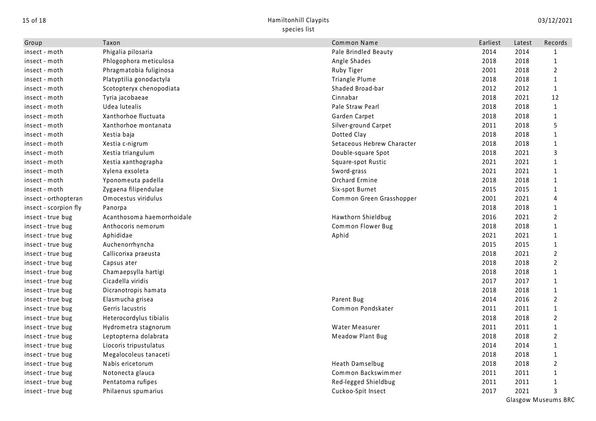| Group                 | Taxon                      | Common Name                | Earliest | Latest | Records        |
|-----------------------|----------------------------|----------------------------|----------|--------|----------------|
| insect - moth         | Phigalia pilosaria         | Pale Brindled Beauty       | 2014     | 2014   | 1              |
| insect - moth         | Phlogophora meticulosa     | Angle Shades               | 2018     | 2018   | $\mathbf{1}$   |
| insect - moth         | Phragmatobia fuliginosa    | Ruby Tiger                 | 2001     | 2018   | $\overline{2}$ |
| insect - moth         | Platyptilia gonodactyla    | Triangle Plume             | 2018     | 2018   | $\mathbf{1}$   |
| insect - moth         | Scotopteryx chenopodiata   | Shaded Broad-bar           | 2012     | 2012   | $\mathbf{1}$   |
| insect - moth         | Tyria jacobaeae            | Cinnabar                   | 2018     | 2021   | 12             |
| insect - moth         | Udea lutealis              | Pale Straw Pearl           | 2018     | 2018   | $\mathbf{1}$   |
| insect - moth         | Xanthorhoe fluctuata       | Garden Carpet              | 2018     | 2018   | $\mathbf{1}$   |
| insect - moth         | Xanthorhoe montanata       | Silver-ground Carpet       | 2011     | 2018   | 5              |
| insect - moth         | Xestia baja                | Dotted Clay                | 2018     | 2018   | $\mathbf{1}$   |
| insect - moth         | Xestia c-nigrum            | Setaceous Hebrew Character | 2018     | 2018   | $\mathbf{1}$   |
| insect - moth         | Xestia triangulum          | Double-square Spot         | 2018     | 2021   | 3              |
| insect - moth         | Xestia xanthographa        | Square-spot Rustic         | 2021     | 2021   | 1              |
| insect - moth         | Xylena exsoleta            | Sword-grass                | 2021     | 2021   | 1              |
| insect - moth         | Yponomeuta padella         | Orchard Ermine             | 2018     | 2018   | $\mathbf{1}$   |
| insect - moth         | Zygaena filipendulae       | Six-spot Burnet            | 2015     | 2015   | $\mathbf{1}$   |
| insect - orthopteran  | Omocestus viridulus        | Common Green Grasshopper   | 2001     | 2021   | 4              |
| insect - scorpion fly | Panorpa                    |                            | 2018     | 2018   | $\mathbf{1}$   |
| insect - true bug     | Acanthosoma haemorrhoidale | Hawthorn Shieldbug         | 2016     | 2021   | 2              |
| insect - true bug     | Anthocoris nemorum         | Common Flower Bug          | 2018     | 2018   | $\mathbf{1}$   |
| insect - true bug     | Aphididae                  | Aphid                      | 2021     | 2021   | $\mathbf{1}$   |
| insect - true bug     | Auchenorrhyncha            |                            | 2015     | 2015   | $\mathbf{1}$   |
| insect - true bug     | Callicorixa praeusta       |                            | 2018     | 2021   | $\overline{2}$ |
| insect - true bug     | Capsus ater                |                            | 2018     | 2018   | $\overline{2}$ |
| insect - true bug     | Chamaepsylla hartigi       |                            | 2018     | 2018   | $\mathbf{1}$   |
| insect - true bug     | Cicadella viridis          |                            | 2017     | 2017   | $\mathbf{1}$   |
| insect - true bug     | Dicranotropis hamata       |                            | 2018     | 2018   | $\mathbf{1}$   |
| insect - true bug     | Elasmucha grisea           | Parent Bug                 | 2014     | 2016   | 2              |
| insect - true bug     | Gerris lacustris           | Common Pondskater          | 2011     | 2011   | $\mathbf{1}$   |
| insect - true bug     | Heterocordylus tibialis    |                            | 2018     | 2018   | $\overline{2}$ |
| insect - true bug     | Hydrometra stagnorum       | Water Measurer             | 2011     | 2011   | $\mathbf{1}$   |
| insect - true bug     | Leptopterna dolabrata      | <b>Meadow Plant Bug</b>    | 2018     | 2018   | $\overline{2}$ |
| insect - true bug     | Liocoris tripustulatus     |                            | 2014     | 2014   | $\mathbf{1}$   |
| insect - true bug     | Megalocoleus tanaceti      |                            | 2018     | 2018   | $\mathbf{1}$   |
| insect - true bug     | Nabis ericetorum           | Heath Damselbug            | 2018     | 2018   | $\overline{2}$ |
| insect - true bug     | Notonecta glauca           | Common Backswimmer         | 2011     | 2011   | $\mathbf{1}$   |
| insect - true bug     | Pentatoma rufipes          | Red-legged Shieldbug       | 2011     | 2011   | 1              |
| insect - true bug     | Philaenus spumarius        | Cuckoo-Spit Insect         | 2017     | 2021   | 3              |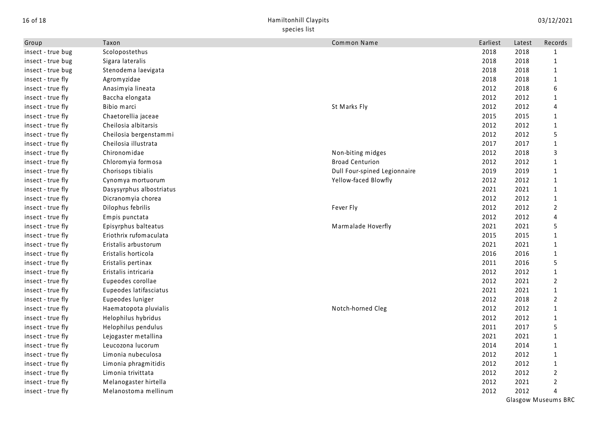## 16 of 18 Hamiltonhill Claypits species list

| Group             | Taxon                    | Common Name                  | Earliest | Latest | Records                    |
|-------------------|--------------------------|------------------------------|----------|--------|----------------------------|
| insect - true bug | Scolopostethus           |                              | 2018     | 2018   | 1                          |
| insect - true bug | Sigara lateralis         |                              | 2018     | 2018   | $\mathbf{1}$               |
| insect - true bug | Stenodema laevigata      |                              | 2018     | 2018   | $\mathbf{1}$               |
| insect - true fly | Agromyzidae              |                              | 2018     | 2018   | $\mathbf{1}$               |
| insect - true fly | Anasimyia lineata        |                              | 2012     | 2018   | 6                          |
| insect - true fly | Baccha elongata          |                              | 2012     | 2012   | 1                          |
| insect - true fly | Bibio marci              | St Marks Fly                 | 2012     | 2012   | 4                          |
| insect - true fly | Chaetorellia jaceae      |                              | 2015     | 2015   | $\mathbf{1}$               |
| insect - true fly | Cheilosia albitarsis     |                              | 2012     | 2012   | $\mathbf{1}$               |
| insect - true fly | Cheilosia bergenstammi   |                              | 2012     | 2012   | 5                          |
| insect - true fly | Cheilosia illustrata     |                              | 2017     | 2017   | $\mathbf{1}$               |
| insect - true fly | Chironomidae             | Non-biting midges            | 2012     | 2018   | 3                          |
| insect - true fly | Chloromyia formosa       | <b>Broad Centurion</b>       | 2012     | 2012   | $\mathbf{1}$               |
| insect - true fly | Chorisops tibialis       | Dull Four-spined Legionnaire | 2019     | 2019   | $\mathbf{1}$               |
| insect - true fly | Cynomya mortuorum        | Yellow-faced Blowfly         | 2012     | 2012   | $\mathbf{1}$               |
| insect - true fly | Dasysyrphus albostriatus |                              | 2021     | 2021   | $\mathbf{1}$               |
| insect - true fly | Dicranomyia chorea       |                              | 2012     | 2012   | $\mathbf{1}$               |
| insect - true fly | Dilophus febrilis        | Fever Fly                    | 2012     | 2012   | $\overline{2}$             |
| insect - true fly | Empis punctata           |                              | 2012     | 2012   | 4                          |
| insect - true fly | Episyrphus balteatus     | Marmalade Hoverfly           | 2021     | 2021   | 5                          |
| insect - true fly | Eriothrix rufomaculata   |                              | 2015     | 2015   | $\mathbf{1}$               |
| insect - true fly | Eristalis arbustorum     |                              | 2021     | 2021   | $\mathbf{1}$               |
| insect - true fly | Eristalis horticola      |                              | 2016     | 2016   | $\mathbf{1}$               |
| insect - true fly | Eristalis pertinax       |                              | 2011     | 2016   | 5                          |
| insect - true fly | Eristalis intricaria     |                              | 2012     | 2012   | $\mathbf{1}$               |
| insect - true fly | Eupeodes corollae        |                              | 2012     | 2021   | $\overline{2}$             |
| insect - true fly | Eupeodes latifasciatus   |                              | 2021     | 2021   | $\mathbf{1}$               |
| insect - true fly | Eupeodes luniger         |                              | 2012     | 2018   | $\overline{2}$             |
| insect - true fly | Haematopota pluvialis    | Notch-horned Cleg            | 2012     | 2012   | $\mathbf{1}$               |
| insect - true fly | Helophilus hybridus      |                              | 2012     | 2012   | 1                          |
| insect - true fly | Helophilus pendulus      |                              | 2011     | 2017   | 5                          |
| insect - true fly | Lejogaster metallina     |                              | 2021     | 2021   | 1                          |
| insect - true fly | Leucozona lucorum        |                              | 2014     | 2014   | $\mathbf{1}$               |
| insect - true fly | Limonia nubeculosa       |                              | 2012     | 2012   | $\mathbf{1}$               |
| insect - true fly | Limonia phragmitidis     |                              | 2012     | 2012   | $\mathbf{1}$               |
| insect - true fly | Limonia trivittata       |                              | 2012     | 2012   | $\overline{2}$             |
| insect - true fly | Melanogaster hirtella    |                              | 2012     | 2021   | $\overline{2}$             |
| insect - true fly | Melanostoma mellinum     |                              | 2012     | 2012   | 4                          |
|                   |                          |                              |          |        | <b>Glasgow Museums BRC</b> |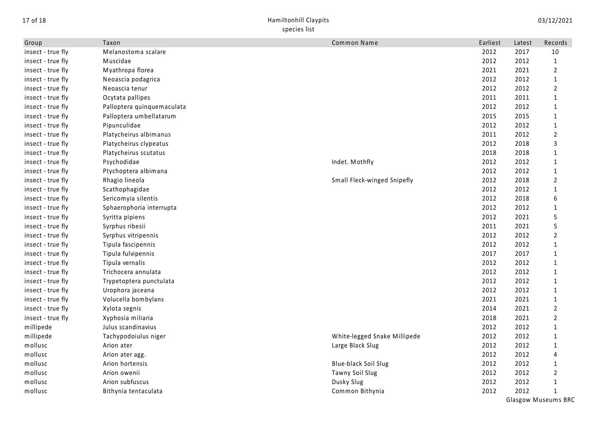| Group             | Taxon                      | Common Name                  | Earliest | Latest | Records                    |
|-------------------|----------------------------|------------------------------|----------|--------|----------------------------|
| insect - true fly | Melanostoma scalare        |                              | 2012     | 2017   | 10                         |
| insect - true fly | Muscidae                   |                              | 2012     | 2012   | $\mathbf{1}$               |
| insect - true fly | Myathropa florea           |                              | 2021     | 2021   | $\overline{2}$             |
| insect - true fly | Neoascia podagrica         |                              | 2012     | 2012   | $\mathbf{1}$               |
| insect - true fly | Neoascia tenur             |                              | 2012     | 2012   | $\overline{2}$             |
| insect - true fly | Ocytata pallipes           |                              | 2011     | 2011   | $\mathbf{1}$               |
| insect - true fly | Palloptera quinquemaculata |                              | 2012     | 2012   | $\mathbf{1}$               |
| insect - true fly | Palloptera umbellatarum    |                              | 2015     | 2015   | $\mathbf{1}$               |
| insect - true fly | Pipunculidae               |                              | 2012     | 2012   | $\mathbf{1}$               |
| insect - true fly | Platycheirus albimanus     |                              | 2011     | 2012   | $\overline{2}$             |
| insect - true fly | Platycheirus clypeatus     |                              | 2012     | 2018   | 3                          |
| insect - true fly | Platycheirus scutatus      |                              | 2018     | 2018   | $\mathbf{1}$               |
| insect - true fly | Psychodidae                | Indet. Mothfly               | 2012     | 2012   | $\mathbf{1}$               |
| insect - true fly | Ptychoptera albimana       |                              | 2012     | 2012   | $\mathbf{1}$               |
| insect - true fly | Rhagio lineola             | Small Fleck-winged Snipefly  | 2012     | 2018   | $\overline{2}$             |
| insect - true fly | Scathophagidae             |                              | 2012     | 2012   | $\mathbf{1}$               |
| insect - true fly | Sericomyia silentis        |                              | 2012     | 2018   | 6                          |
| insect - true fly | Sphaerophoria interrupta   |                              | 2012     | 2012   | $\mathbf{1}$               |
| insect - true fly | Syritta pipiens            |                              | 2012     | 2021   | 5                          |
| insect - true fly | Syrphus ribesii            |                              | 2011     | 2021   | 5                          |
| insect - true fly | Syrphus vitripennis        |                              | 2012     | 2012   | $\overline{2}$             |
| insect - true fly | Tipula fascipennis         |                              | 2012     | 2012   | $\mathbf{1}$               |
| insect - true fly | Tipula fulvipennis         |                              | 2017     | 2017   | 1                          |
| insect - true fly | Tipula vernalis            |                              | 2012     | 2012   | $\mathbf{1}$               |
| insect - true fly | Trichocera annulata        |                              | 2012     | 2012   | $\mathbf{1}$               |
| insect - true fly | Trypetoptera punctulata    |                              | 2012     | 2012   | $\mathbf{1}$               |
| insect - true fly | Urophora jaceana           |                              | 2012     | 2012   | $\mathbf{1}$               |
| insect - true fly | Volucella bombylans        |                              | 2021     | 2021   | $\mathbf{1}$               |
| insect - true fly | Xylota segnis              |                              | 2014     | 2021   | 2                          |
| insect - true fly | Xyphosia miliaria          |                              | 2018     | 2021   | $\overline{2}$             |
| millipede         | Julus scandinavius         |                              | 2012     | 2012   | $\mathbf{1}$               |
| millipede         | Tachypodoiulus niger       | White-legged Snake Millipede | 2012     | 2012   | $\mathbf{1}$               |
| mollusc           | Arion ater                 | Large Black Slug             | 2012     | 2012   | $\mathbf{1}$               |
| mollusc           | Arion ater agg.            |                              | 2012     | 2012   | 4                          |
| mollusc           | Arion hortensis            | Blue-black Soil Slug         | 2012     | 2012   | $\mathbf{1}$               |
| mollusc           | Arion owenii               | Tawny Soil Slug              | 2012     | 2012   | $\overline{2}$             |
| mollusc           | Arion subfuscus            | Dusky Slug                   | 2012     | 2012   | $\mathbf 1$                |
| mollusc           | Bithynia tentaculata       | Common Bithynia              | 2012     | 2012   | 1                          |
|                   |                            |                              |          |        | <b>Glasgow Museums BRC</b> |